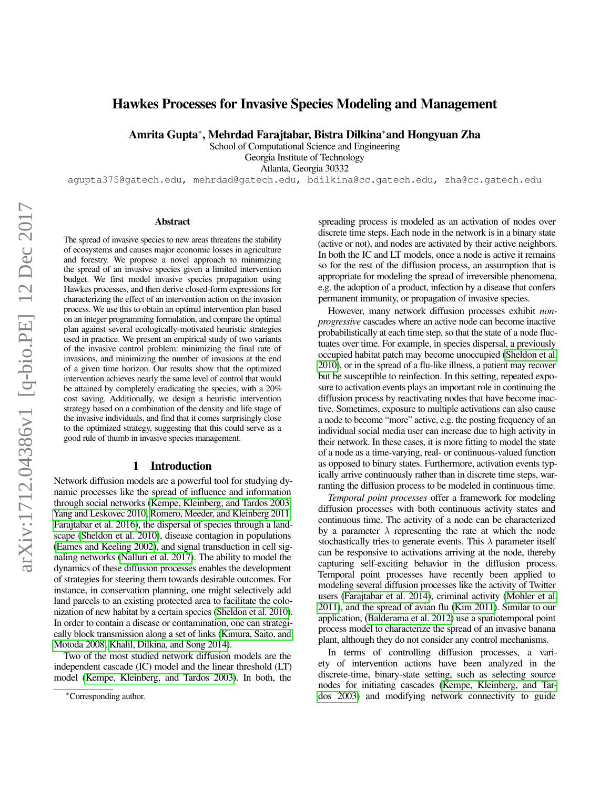# Hawkes Processes for Invasive Species Modeling and Management

Amrita Gupta<sup>∗</sup> , Mehrdad Farajtabar, Bistra Dilkina<sup>∗</sup>and Hongyuan Zha

School of Computational Science and Engineering

Georgia Institute of Technology

Atlanta, Georgia 30332

agupta375@gatech.edu, mehrdad@gatech.edu, bdilkina@cc.gatech.edu, zha@cc.gatech.edu

#### **Abstract**

The spread of invasive species to new areas threatens the stability of ecosystems and causes major economic losses in agriculture and forestry. We propose a novel approach to minimizing the spread of an invasive species given a limited intervention budget. We first model invasive species propagation using Hawkes processes, and then derive closed-form expressions for characterizing the effect of an intervention action on the invasion process. We use this to obtain an optimal intervention plan based on an integer programming formulation, and compare the optimal plan against several ecologically-motivated heuristic strategies used in practice. We present an empirical study of two variants of the invasive control problem: minimizing the final rate of invasions, and minimizing the number of invasions at the end of a given time horizon. Our results show that the optimized intervention achieves nearly the same level of control that would be attained by completely eradicating the species, with a 20% cost saving. Additionally, we design a heuristic intervention strategy based on a combination of the density and life stage of the invasive individuals, and find that it comes surprisingly close to the optimized strategy, suggesting that this could serve as a good rule of thumb in invasive species management.

### 1 Introduction

Network diffusion models are a powerful tool for studying dynamic processes like the spread of influence and information through social networks [\(Kempe, Kleinberg, and Tardos 2003;](#page-7-0) [Yang and Leskovec 2010;](#page-7-1) [Romero, Meeder, and Kleinberg 2011;](#page-7-2) [Farajtabar et al.](#page-7-3) 2016), the dispersal of species through a landscape [\(Sheldon et al.](#page-7-4) 2010), disease contagion in populations [\(Eames and Keeling 2002\)](#page-7-5), and signal transduction in cell signaling networks [\(Nalluri et al.](#page-7-6) 2017). The ability to model the dynamics of these diffusion processes enables the development of strategies for steering them towards desirable outcomes. For instance, in conservation planning, one might selectively add land parcels to an existing protected area to facilitate the colonization of new habitat by a certain species [\(Sheldon et al.](#page-7-4) 2010). In order to contain a disease or contamination, one can strategically block transmission along a set of links [\(Kimura, Saito, and](#page-7-7) [Motoda 2008;](#page-7-7) [Khalil, Dilkina, and Song 2014\)](#page-7-8).

Two of the most studied network diffusion models are the independent cascade (IC) model and the linear threshold (LT) model [\(Kempe, Kleinberg, and Tardos 2003\)](#page-7-0). In both, the

spreading process is modeled as an activation of nodes over discrete time steps. Each node in the network is in a binary state (active or not), and nodes are activated by their active neighbors. In both the IC and LT models, once a node is active it remains so for the rest of the diffusion process, an assumption that is appropriate for modeling the spread of irreversible phenomena, e.g. the adoption of a product, infection by a disease that confers permanent immunity, or propagation of invasive species.

However, many network diffusion processes exhibit *nonprogressive* cascades where an active node can become inactive probabilistically at each time step, so that the state of a node fluctuates over time. For example, in species dispersal, a previously occupied habitat patch may become unoccupied [\(Sheldon et al.](#page-7-4) [2010\)](#page-7-4), or in the spread of a flu-like illness, a patient may recover but be susceptible to reinfection. In this setting, repeated exposure to activation events plays an important role in continuing the diffusion process by reactivating nodes that have become inactive. Sometimes, exposure to multiple activations can also cause a node to become "more" active, e.g. the posting frequency of an individual social media user can increase due to high activity in their network. In these cases, it is more fitting to model the state of a node as a time-varying, real- or continuous-valued function as opposed to binary states. Furthermore, activation events typically arrive continuously rather than in discrete time steps, warranting the diffusion process to be modeled in continuous time.

*Temporal point processes* offer a framework for modeling diffusion processes with both continuous activity states and continuous time. The activity of a node can be characterized by a parameter  $\lambda$  representing the rate at which the node stochastically tries to generate events. This  $\lambda$  parameter itself can be responsive to activations arriving at the node, thereby capturing self-exciting behavior in the diffusion process. Temporal point processes have recently been applied to modeling several diffusion processes like the activity of Twitter users [\(Farajtabar et al.](#page-7-9) 2014), criminal activity [\(Mohler et al.](#page-7-10) [2011\)](#page-7-10), and the spread of avian flu [\(Kim 2011\)](#page-7-11). Similar to our application, [\(Balderama et al.](#page-7-12) 2012) use a spatiotemporal point process model to characterize the spread of an invasive banana plant, although they do not consider any control mechanisms.

In terms of controlling diffusion processes, a variety of intervention actions have been analyzed in the discrete-time, binary-state setting, such as selecting source nodes for initiating cascades [\(Kempe, Kleinberg, and Tar](#page-7-0)[dos 2003\)](#page-7-0) and modifying network connectivity to guide

<sup>∗</sup>Corresponding author.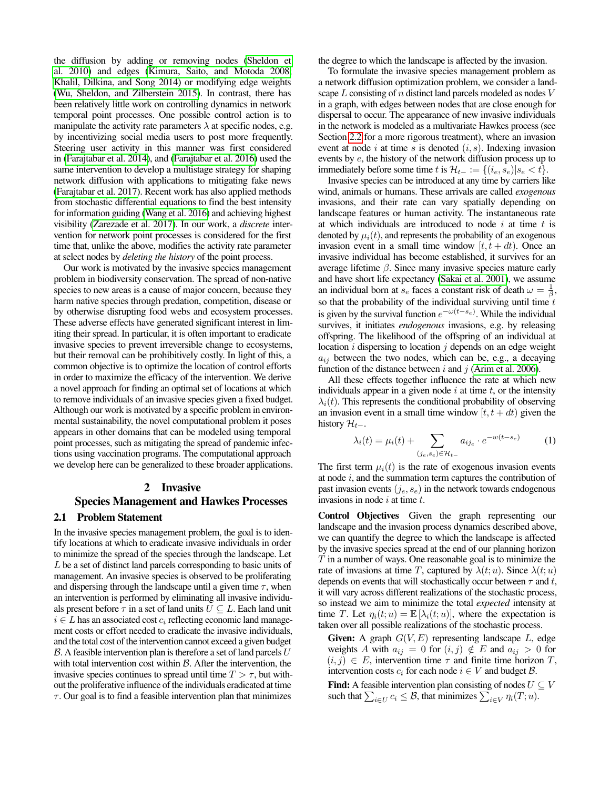the diffusion by adding or removing nodes [\(Sheldon et](#page-7-4) al. [2010\)](#page-7-4) and edges [\(Kimura, Saito, and Motoda 2008;](#page-7-7) [Khalil, Dilkina, and Song 2014\)](#page-7-8) or modifying edge weights [\(Wu, Sheldon, and Zilberstein 2015\)](#page-7-13). In contrast, there has been relatively little work on controlling dynamics in network temporal point processes. One possible control action is to manipulate the activity rate parameters  $\lambda$  at specific nodes, e.g. by incentivizing social media users to post more frequently. Steering user activity in this manner was first considered in [\(Farajtabar et al.](#page-7-9) 2014), and [\(Farajtabar et al.](#page-7-3) 2016) used the same intervention to develop a multistage strategy for shaping network diffusion with applications to mitigating fake news [\(Farajtabar et al.](#page-7-14) 2017). Recent work has also applied methods from stochastic differential equations to find the best intensity for information guiding [\(Wang et al.](#page-7-15) 2016) and achieving highest visibility [\(Zarezade et al.](#page-7-16) 2017). In our work, a *discrete* intervention for network point processes is considered for the first time that, unlike the above, modifies the activity rate parameter at select nodes by *deleting the history* of the point process.

Our work is motivated by the invasive species management problem in biodiversity conservation. The spread of non-native species to new areas is a cause of major concern, because they harm native species through predation, competition, disease or by otherwise disrupting food webs and ecosystem processes. These adverse effects have generated significant interest in limiting their spread. In particular, it is often important to eradicate invasive species to prevent irreversible change to ecosystems, but their removal can be prohibitively costly. In light of this, a common objective is to optimize the location of control efforts in order to maximize the efficacy of the intervention. We derive a novel approach for finding an optimal set of locations at which to remove individuals of an invasive species given a fixed budget. Although our work is motivated by a specific problem in environmental sustainability, the novel computational problem it poses appears in other domains that can be modeled using temporal point processes, such as mitigating the spread of pandemic infections using vaccination programs. The computational approach we develop here can be generalized to these broader applications.

## 2 Invasive

# Species Management and Hawkes Processes

### 2.1 Problem Statement

In the invasive species management problem, the goal is to identify locations at which to eradicate invasive individuals in order to minimize the spread of the species through the landscape. Let L be a set of distinct land parcels corresponding to basic units of management. An invasive species is observed to be proliferating and dispersing through the landscape until a given time  $\tau$ , when an intervention is performed by eliminating all invasive individuals present before  $\tau$  in a set of land units  $U \subseteq L$ . Each land unit  $i \in L$  has an associated cost  $c_i$  reflecting economic land management costs or effort needed to eradicate the invasive individuals, and the total cost of the intervention cannot exceed a given budget  $B$ . A feasible intervention plan is therefore a set of land parcels  $U$ with total intervention cost within  $B$ . After the intervention, the invasive species continues to spread until time  $T > \tau$ , but without the proliferative influence of the individuals eradicated at time  $\tau$ . Our goal is to find a feasible intervention plan that minimizes

the degree to which the landscape is affected by the invasion.

To formulate the invasive species management problem as a network diffusion optimization problem, we consider a landscape L consisting of n distinct land parcels modeled as nodes V in a graph, with edges between nodes that are close enough for dispersal to occur. The appearance of new invasive individuals in the network is modeled as a multivariate Hawkes process (see Section [2.2](#page-2-0) for a more rigorous treatment), where an invasion event at node  $i$  at time  $s$  is denoted  $(i, s)$ . Indexing invasion events by e, the history of the network diffusion process up to immediately before some time t is  $\mathcal{H}_{t-} := \{(i_e, s_e) | s_e < t\}.$ 

Invasive species can be introduced at any time by carriers like wind, animals or humans. These arrivals are called *exogenous* invasions, and their rate can vary spatially depending on landscape features or human activity. The instantaneous rate at which individuals are introduced to node  $i$  at time  $t$  is denoted by  $\mu_i(t)$ , and represents the probability of an exogenous invasion event in a small time window  $[t, t + dt)$ . Once an invasive individual has become established, it survives for an average lifetime β. Since many invasive species mature early and have short life expectancy [\(Sakai et al.](#page-7-17) 2001), we assume an individual born at  $s_e$  faces a constant risk of death  $\omega = \frac{1}{\beta}$ , so that the probability of the individual surviving until time  $t$ is given by the survival function  $e^{-\omega(t-s_e)}$ . While the individual survives, it initiates *endogenous* invasions, e.g. by releasing offspring. The likelihood of the offspring of an individual at location  $i$  dispersing to location  $j$  depends on an edge weight  $a_{ij}$  between the two nodes, which can be, e.g., a decaying function of the distance between  $i$  and  $j$  [\(Arim et al. 2006\)](#page-7-18).

All these effects together influence the rate at which new individuals appear in a given node  $i$  at time  $t$ , or the intensity  $\lambda_i(t)$ . This represents the conditional probability of observing an invasion event in a small time window  $[t, t + dt)$  given the history  $\mathcal{H}_{t-}$ .

$$
\lambda_i(t) = \mu_i(t) + \sum_{(j_e, s_e) \in \mathcal{H}_{t-}} a_{ij_e} \cdot e^{-w(t - s_e)} \tag{1}
$$

The first term  $\mu_i(t)$  is the rate of exogenous invasion events at node  $i$ , and the summation term captures the contribution of past invasion events  $(j_e, s_e)$  in the network towards endogenous invasions in node  $i$  at time  $t$ .

Control Objectives Given the graph representing our landscape and the invasion process dynamics described above, we can quantify the degree to which the landscape is affected by the invasive species spread at the end of our planning horizon  $T$  in a number of ways. One reasonable goal is to minimize the rate of invasions at time T, captured by  $\lambda(t;u)$ . Since  $\lambda(t;u)$ depends on events that will stochastically occur between  $\tau$  and t, it will vary across different realizations of the stochastic process, so instead we aim to minimize the total *expected* intensity at time T. Let  $\eta_i(t;u) = \mathbb{E}[\lambda_i(t;u)]$ , where the expectation is taken over all possible realizations of the stochastic process.

**Given:** A graph  $G(V, E)$  representing landscape L, edge weights A with  $a_{ij} = 0$  for  $(i, j) \notin E$  and  $a_{ij} > 0$  for  $(i, j) \in E$ , intervention time  $\tau$  and finite time horizon T, intervention costs  $c_i$  for each node  $i \in V$  and budget  $\mathcal{B}$ .

Find: A feasible intervention plan consisting of nodes  $U \subseteq V$ such that  $\sum_{i \in U} c_i \leq \mathcal{B}$ , that minimizes  $\sum_{i \in V} \eta_i(T;u)$ .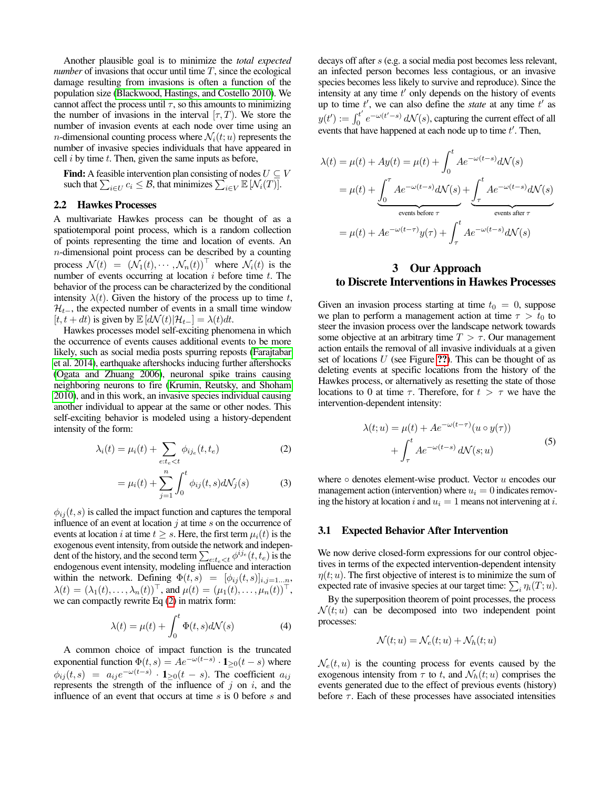Another plausible goal is to minimize the *total expected number* of invasions that occur until time  $T$ , since the ecological damage resulting from invasions is often a function of the population size [\(Blackwood, Hastings, and Costello 2010\)](#page-7-19). We cannot affect the process until  $\tau$ , so this amounts to minimizing the number of invasions in the interval  $[\tau, T)$ . We store the number of invasion events at each node over time using an *n*-dimensional counting process where  $\mathcal{N}_i(t;u)$  represents the number of invasive species individuals that have appeared in cell  $i$  by time  $t$ . Then, given the same inputs as before,

**Find:** A feasible intervention plan consisting of nodes  $U \subseteq V$ such that  $\sum_{i \in U} c_i \leq \mathcal{B}$ , that minimizes  $\sum_{i \in V} \mathbb{E} [\mathcal{N}_i(T)]$ .

## <span id="page-2-0"></span>2.2 Hawkes Processes

A multivariate Hawkes process can be thought of as a spatiotemporal point process, which is a random collection of points representing the time and location of events. An n-dimensional point process can be described by a counting process  $\mathcal{N}(t) = (\mathcal{N}_1(t), \cdots, \mathcal{N}_n(t))^{\top}$  where  $\mathcal{N}_i(t)$  is the number of events occurring at location  $i$  before time  $t$ . The behavior of the process can be characterized by the conditional intensity  $\lambda(t)$ . Given the history of the process up to time t,  $\mathcal{H}_{t-}$ , the expected number of events in a small time window [t, t + dt) is given by  $\mathbb{E}[d\mathcal{N}(t)|\mathcal{H}_{t-}] = \lambda(t)dt$ .

Hawkes processes model self-exciting phenomena in which the occurrence of events causes additional events to be more likely, such as social media posts spurring reposts [\(Farajtabar](#page-7-9) et al. [2014\)](#page-7-9), earthquake aftershocks inducing further aftershocks [\(Ogata and Zhuang 2006\)](#page-7-20), neuronal spike trains causing neighboring neurons to fire [\(Krumin, Reutsky, and Shoham](#page-7-21) [2010\)](#page-7-21), and in this work, an invasive species individual causing another individual to appear at the same or other nodes. This self-exciting behavior is modeled using a history-dependent intensity of the form:

$$
\lambda_i(t) = \mu_i(t) + \sum_{e:t_e < t} \phi_{ij_e}(t, t_e)
$$
\n
$$
= \mu_i(t) + \sum_{j=1}^n \int_0^t \phi_{ij}(t, s) d\mathcal{N}_j(s)
$$
\n(3)

 $\phi_{ij}(t, s)$  is called the impact function and captures the temporal influence of an event at location  $j$  at time  $s$  on the occurrence of events at location i at time  $t \geq s$ . Here, the first term  $\mu_i(t)$  is the exogenous event intensity, from outside the network and independent of the history, and the second term  $\sum_{e:t_e < t} \phi^{i j_e}(t,t_e)$  is the endogenous event intensity, modeling influence and interaction within the network. Defining  $\Phi(t,s) = [\phi_{ij}(t,s)]_{i,j=1...n}$ ,  $\lambda(t) = (\lambda_1(t), \dots, \lambda_n(t))^{\top}$ , and  $\mu(t) = (\mu_1(t), \dots, \mu_n(t))^{\top}$ , we can compactly rewrite Eq [\(2\)](#page-2-1) in matrix form:

$$
\lambda(t) = \mu(t) + \int_0^t \Phi(t, s) d\mathcal{N}(s)
$$
\n(4)

A common choice of impact function is the truncated exponential function  $\Phi(t,s) = Ae^{-\omega(t-s)} \cdot \mathbf{1}_{\geq 0}(t-s)$  where  $\phi_{ij}(t,s) = a_{ij}e^{-\omega(t-s)} \cdot \mathbf{1}_{\geq 0}(t-s)$ . The coefficient  $a_{ij}$ represents the strength of the influence of j on i, and the influence of an event that occurs at time s is 0 before s and decays off after s (e.g. a social media post becomes less relevant, an infected person becomes less contagious, or an invasive species becomes less likely to survive and reproduce). Since the intensity at any time  $t'$  only depends on the history of events up to time  $t'$ , we can also define the *state* at any time  $t'$  as  $y(t') := \int_0^{t'}$  $\int_0^{t'} e^{-\omega(t'-s)} d\mathcal{N}(s)$ , capturing the current effect of all events that have happened at each node up to time  $t'$ . Then,

$$
\lambda(t) = \mu(t) + Ay(t) = \mu(t) + \int_0^t Ae^{-\omega(t-s)}d\mathcal{N}(s)
$$

$$
= \mu(t) + \underbrace{\int_0^{\tau} Ae^{-\omega(t-s)}d\mathcal{N}(s)}_{\text{events before }\tau} + \underbrace{\int_{\tau}^t Ae^{-\omega(t-s)}d\mathcal{N}(s)}_{\text{events after }\tau}
$$

$$
= \mu(t) + Ae^{-\omega(t-\tau)}y(\tau) + \int_{\tau}^t Ae^{-\omega(t-s)}d\mathcal{N}(s)
$$

# 3 Our Approach to Discrete Interventions in Hawkes Processes

Given an invasion process starting at time  $t_0 = 0$ , suppose we plan to perform a management action at time  $\tau > t_0$  to steer the invasion process over the landscape network towards some objective at an arbitrary time  $T > \tau$ . Our management action entails the removal of all invasive individuals at a given set of locations  $U$  (see Figure [??](#page-3-0)). This can be thought of as deleting events at specific locations from the history of the Hawkes process, or alternatively as resetting the state of those locations to 0 at time  $\tau$ . Therefore, for  $t > \tau$  we have the intervention-dependent intensity:

$$
\lambda(t; u) = \mu(t) + Ae^{-\omega(t-\tau)} (u \circ y(\tau)) + \int_{\tau}^{t} Ae^{-\omega(t-s)} d\mathcal{N}(s; u)
$$
 (5)

<span id="page-2-1"></span>where  $\circ$  denotes element-wise product. Vector  $u$  encodes our management action (intervention) where  $u_i = 0$  indicates removing the history at location i and  $u_i = 1$  means not intervening at i.

#### 3.1 Expected Behavior After Intervention

We now derive closed-form expressions for our control objectives in terms of the expected intervention-dependent intensity  $\eta(t;u)$ . The first objective of interest is to minimize the sum of expected rate of invasive species at our target time:  $\sum_i \eta_i(T;u)$ .

By the superposition theorem of point processes, the process  $\mathcal{N}(t;u)$  can be decomposed into two independent point processes:

$$
\mathcal{N}(t;u) = \mathcal{N}_e(t;u) + \mathcal{N}_h(t;u)
$$

 $\mathcal{N}_e(t, u)$  is the counting process for events caused by the exogenous intensity from  $\tau$  to t, and  $\mathcal{N}_h(t;u)$  comprises the events generated due to the effect of previous events (history) before  $\tau$ . Each of these processes have associated intensities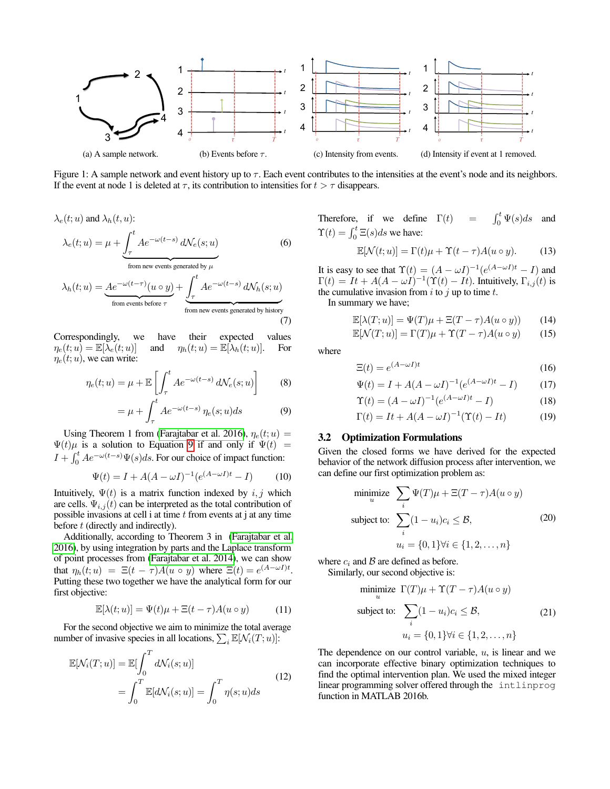<span id="page-3-0"></span>

Figure 1: A sample network and event history up to  $\tau$ . Each event contributes to the intensities at the event's node and its neighbors. If the event at node 1 is deleted at  $\tau$ , its contribution to intensities for  $t > \tau$  disappears.

$$
\lambda_e(t; u) \text{ and } \lambda_h(t, u):
$$
\n
$$
\lambda_e(t; u) = \mu + \underbrace{\int_{\tau}^{t} Ae^{-\omega(t-s)} d\mathcal{N}_e(s; u)}_{\text{from new events generated by } \mu}
$$
\n(6)

$$
\lambda_h(t;u) = \underbrace{Ae^{-\omega(t-\tau)}(u \circ y)}_{\text{from events before }\tau} + \underbrace{\int_{\tau}^{t} Ae^{-\omega(t-s)} d\mathcal{N}_h(s;u)}_{\text{from new events generated by history}}
$$
\n(7)

Correspondingly, we have their expected values  $\eta_e(t;u) = \mathbb{E}[\lambda_e(t;u)]$  and  $\eta_h(t;u) = \mathbb{E}[\lambda_h(t;u)]$ . For  $\eta_e(t;u)$ , we can write:

$$
\eta_e(t; u) = \mu + \mathbb{E}\left[\int_{\tau}^{t} A e^{-\omega(t-s)} d\mathcal{N}_e(s; u)\right]
$$
(8)

$$
= \mu + \int_{\tau}^{t} Ae^{-\omega(t-s)} \eta_e(s; u)ds \tag{9}
$$

Using Theorem 1 from [\(Farajtabar et al.](#page-7-3) 2016),  $\eta_e(t;u)$  =  $\Psi(t)\mu$  is a solution to Equation [9](#page-3-1) if and only if  $\Psi(t)$  =  $I + \int_0^t Ae^{-\omega(t-s)}\Psi(s)ds$ . For our choice of impact function:

$$
\Psi(t) = I + A(A - \omega I)^{-1} (e^{(A - \omega I)t} - I)
$$
(10)

Intuitively,  $\Psi(t)$  is a matrix function indexed by  $i, j$  which are cells.  $\Psi_{i,j}(t)$  can be interpreted as the total contribution of possible invasions at cell i at time  $t$  from events at j at any time before t (directly and indirectly).

Additionally, according to Theorem 3 in [\(Farajtabar et al.](#page-7-3) [2016\)](#page-7-3), by using integration by parts and the Laplace transform of point processes from [\(Farajtabar et al.](#page-7-9) 2014), we can show that  $\eta_h(t; u) = \Xi(t - \tau)A(u \circ y)$  where  $\Xi(t) = e^{(A - \omega I)t}$ . Putting these two together we have the analytical form for our first objective:

$$
\mathbb{E}[\lambda(t;u)] = \Psi(t)\mu + \Xi(t-\tau)A(u\circ y)
$$
 (11)

For the second objective we aim to minimize the total average number of invasive species in all locations,  $\sum_i \mathbb{E}[\mathcal{N}_i(T;u)]$ :

$$
\mathbb{E}[\mathcal{N}_i(T; u)] = \mathbb{E}[\int_0^T d\mathcal{N}_i(s; u)]
$$
  
= 
$$
\int_0^T \mathbb{E}[d\mathcal{N}_i(s; u)] = \int_0^T \eta(s; u)ds
$$
 (12)

Therefore, if we define  $\Gamma(t)$  =  $\int_0^t \Psi(s)ds$  and  $\Upsilon(t) = \int_0^t \Xi(s)ds$  we have:

$$
\mathbb{E}[\mathcal{N}(t;u)] = \Gamma(t)\mu + \Upsilon(t-\tau)A(u\circ y). \tag{13}
$$

It is easy to see that  $\Upsilon(t) = (A - \omega I)^{-1} (e^{(A - \omega I)t} - I)$  and  $\Gamma(t) = It + A(A - \omega I)^{-1} (\Upsilon(t) - It)$ . Intuitively,  $\Gamma_{i,j}(t)$  is the cumulative invasion from  $i$  to  $j$  up to time  $t$ .

In summary we have;

<span id="page-3-2"></span>
$$
\mathbb{E}[\lambda(T;u)] = \Psi(T)\mu + \Xi(T-\tau)A(u\circ y)) \tag{14}
$$

<span id="page-3-3"></span>
$$
\mathbb{E}[\mathcal{N}(T;u)] = \Gamma(T)\mu + \Upsilon(T-\tau)A(u \circ y) \tag{15}
$$

where

$$
\Xi(t) = e^{(A - \omega I)t} \tag{16}
$$

$$
\Psi(t) = I + A(A - \omega I)^{-1} (e^{(A - \omega I)t} - I)
$$
 (17)

$$
\Upsilon(t) = (A - \omega I)^{-1} (e^{(A - \omega I)t} - I)
$$
\n(18)

$$
\Gamma(t) = It + A(A - \omega I)^{-1} (\Upsilon(t) - It)
$$
\n(19)

# <span id="page-3-1"></span>3.2 Optimization Formulations

Given the closed forms we have derived for the expected behavior of the network diffusion process after intervention, we can define our first optimization problem as:

minimize 
$$
\sum_{u} \Psi(T)\mu + \Xi(T - \tau)A(u \circ y)
$$
  
subject to: 
$$
\sum_{i} (1 - u_i)c_i \leq \mathcal{B},
$$
 (20)  

$$
u_i = \{0, 1\} \forall i \in \{1, 2, ..., n\}
$$

where  $c_i$  and  $\beta$  are defined as before. Similarly, our second objective is:

minimize 
$$
\Gamma(T)\mu + \Upsilon(T - \tau)A(u \circ y)
$$
  
\nsubject to:  $\sum_{i} (1 - u_i)c_i \leq \mathcal{B}$ , (21)  
\n $u_i = \{0, 1\} \forall i \in \{1, 2, ..., n\}$ 

The dependence on our control variable,  $u$ , is linear and we can incorporate effective binary optimization techniques to find the optimal intervention plan. We used the mixed integer linear programming solver offered through the intlinprog function in MATLAB 2016b.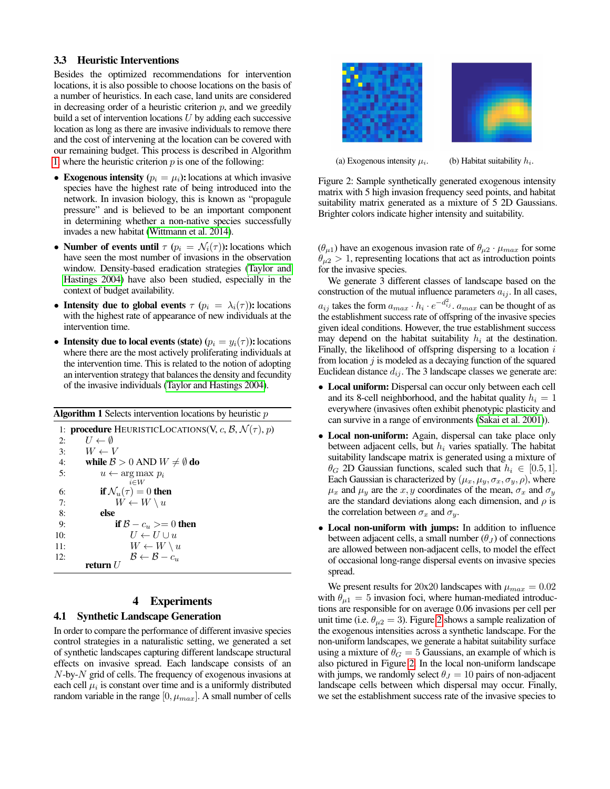## 3.3 Heuristic Interventions

Besides the optimized recommendations for intervention locations, it is also possible to choose locations on the basis of a number of heuristics. In each case, land units are considered in decreasing order of a heuristic criterion  $p$ , and we greedily build a set of intervention locations  $U$  by adding each successive location as long as there are invasive individuals to remove there and the cost of intervening at the location can be covered with our remaining budget. This process is described in Algorithm [1,](#page-4-0) where the heuristic criterion  $p$  is one of the following:

- Exogenous intensity  $(p_i = \mu_i)$ : locations at which invasive species have the highest rate of being introduced into the network. In invasion biology, this is known as "propagule pressure" and is believed to be an important component in determining whether a non-native species successfully invades a new habitat [\(Wittmann et al. 2014\)](#page-7-22).
- Number of events until  $\tau$  ( $p_i = \mathcal{N}_i(\tau)$ ): locations which have seen the most number of invasions in the observation window. Density-based eradication strategies [\(Taylor and](#page-7-23) [Hastings 2004\)](#page-7-23) have also been studied, especially in the context of budget availability.
- Intensity due to global events  $\tau$  ( $p_i = \lambda_i(\tau)$ ): locations with the highest rate of appearance of new individuals at the intervention time.
- Intensity due to local events (state)  $(p_i = y_i(\tau))$ : locations where there are the most actively proliferating individuals at the intervention time. This is related to the notion of adopting an intervention strategy that balances the density and fecundity of the invasive individuals [\(Taylor and Hastings 2004\)](#page-7-23).

<span id="page-4-0"></span>

| <b>Algorithm 1</b> Selects intervention locations by heuristic $p$                 |  |  |  |  |  |
|------------------------------------------------------------------------------------|--|--|--|--|--|
| 1: <b>procedure</b> HEURISTICLOCATIONS(V, c, $\mathcal{B}, \mathcal{N}(\tau)$ , p) |  |  |  |  |  |
| $U \leftarrow \emptyset$<br>2:                                                     |  |  |  |  |  |
| $W \leftarrow V$<br>3:                                                             |  |  |  |  |  |
| while $B > 0$ AND $W \neq \emptyset$ do<br>4:                                      |  |  |  |  |  |
| 5:<br>$u \leftarrow \arg \max p_i$                                                 |  |  |  |  |  |
| $i \in W$                                                                          |  |  |  |  |  |
| if $\mathcal{N}_u(\tau) = 0$ then<br>6:                                            |  |  |  |  |  |
| $W \leftarrow W \setminus u$<br>7:                                                 |  |  |  |  |  |
| else<br>8:                                                                         |  |  |  |  |  |
| if $B - c_u \geq 0$ then<br>9:                                                     |  |  |  |  |  |
| $U \leftarrow U \cup u$<br>10:                                                     |  |  |  |  |  |
| $W \leftarrow W \setminus u$<br>11:                                                |  |  |  |  |  |
| $\mathcal{B} \leftarrow \mathcal{B} - c_{\alpha}$<br>12:                           |  |  |  |  |  |
| return $U$                                                                         |  |  |  |  |  |
|                                                                                    |  |  |  |  |  |

# 4 Experiments

### 4.1 Synthetic Landscape Generation

In order to compare the performance of different invasive species control strategies in a naturalistic setting, we generated a set of synthetic landscapes capturing different landscape structural effects on invasive spread. Each landscape consists of an  $N$ -by- $N$  grid of cells. The frequency of exogenous invasions at each cell  $\mu_i$  is constant over time and is a uniformly distributed random variable in the range  $[0, \mu_{max}]$ . A small number of cells

<span id="page-4-1"></span>

(a) Exogenous intensity  $\mu_i$ . (b) Habitat suitability  $h_i$ .

Figure 2: Sample synthetically generated exogenous intensity matrix with 5 high invasion frequency seed points, and habitat suitability matrix generated as a mixture of 5 2D Gaussians. Brighter colors indicate higher intensity and suitability.

 $(\theta_{\mu 1})$  have an exogenous invasion rate of  $\theta_{\mu 2} \cdot \mu_{max}$  for some  $\theta_{\mu 2} > 1$ , representing locations that act as introduction points for the invasive species.

We generate 3 different classes of landscape based on the construction of the mutual influence parameters  $a_{ij}$ . In all cases,  $a_{ij}$  takes the form  $a_{max} \cdot h_i \cdot e^{-d_{ij}^2}$ .  $a_{max}$  can be thought of as the establishment success rate of offspring of the invasive species given ideal conditions. However, the true establishment success may depend on the habitat suitability  $h_i$  at the destination. Finally, the likelihood of offspring dispersing to a location  $i$ from location  $j$  is modeled as a decaying function of the squared Euclidean distance  $d_{ij}$ . The 3 landscape classes we generate are:

- Local uniform: Dispersal can occur only between each cell and its 8-cell neighborhood, and the habitat quality  $h_i = 1$ everywhere (invasives often exhibit phenotypic plasticity and can survive in a range of environments [\(Sakai et al. 2001\)](#page-7-17)).
- Local non-uniform: Again, dispersal can take place only between adjacent cells, but  $h_i$  varies spatially. The habitat suitability landscape matrix is generated using a mixture of  $\theta_G$  2D Gaussian functions, scaled such that  $h_i \in [0.5, 1]$ . Each Gaussian is characterized by  $(\mu_x, \mu_y, \sigma_x, \sigma_y, \rho)$ , where  $\mu_x$  and  $\mu_y$  are the x, y coordinates of the mean,  $\sigma_x$  and  $\sigma_y$ are the standard deviations along each dimension, and  $\rho$  is the correlation between  $\sigma_x$  and  $\sigma_y$ .
- Local non-uniform with jumps: In addition to influence between adjacent cells, a small number  $(\theta_I)$  of connections are allowed between non-adjacent cells, to model the effect of occasional long-range dispersal events on invasive species spread.

We present results for 20x20 landscapes with  $\mu_{max} = 0.02$ with  $\theta_{\mu 1} = 5$  invasion foci, where human-mediated introductions are responsible for on average 0.06 invasions per cell per unit time (i.e.  $\theta_{\mu 2} = 3$  $\theta_{\mu 2} = 3$  $\theta_{\mu 2} = 3$ ). Figure 2 shows a sample realization of the exogenous intensities across a synthetic landscape. For the non-uniform landscapes, we generate a habitat suitability surface using a mixture of  $\theta_G = 5$  Gaussians, an example of which is also pictured in Figure [2.](#page-4-1) In the local non-uniform landscape with jumps, we randomly select  $\theta_J = 10$  pairs of non-adjacent landscape cells between which dispersal may occur. Finally, we set the establishment success rate of the invasive species to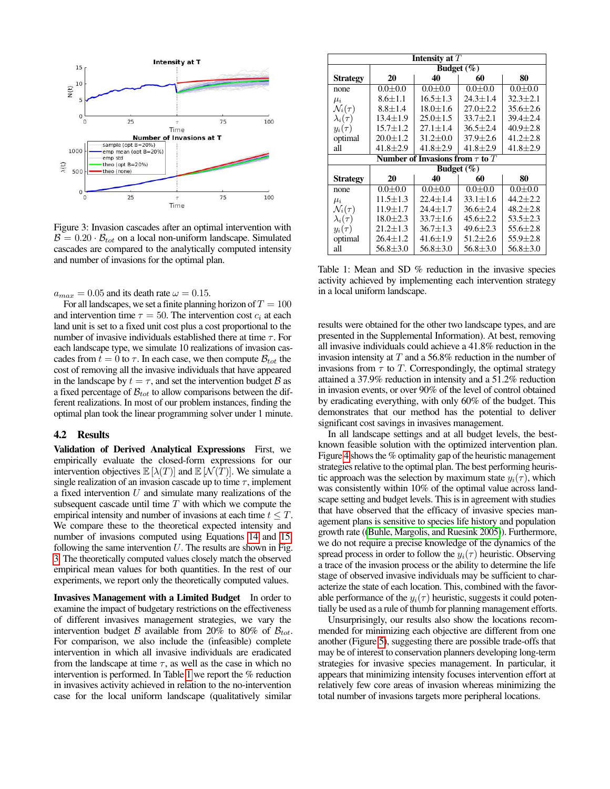<span id="page-5-0"></span>

Figure 3: Invasion cascades after an optimal intervention with  $\mathcal{B} = 0.20 \cdot \mathcal{B}_{tot}$  on a local non-uniform landscape. Simulated cascades are compared to the analytically computed intensity and number of invasions for the optimal plan.

 $a_{max} = 0.05$  and its death rate  $\omega = 0.15$ .

For all landscapes, we set a finite planning horizon of  $T = 100$ and intervention time  $\tau = 50$ . The intervention cost  $c_i$  at each land unit is set to a fixed unit cost plus a cost proportional to the number of invasive individuals established there at time  $\tau$ . For each landscape type, we simulate 10 realizations of invasion cascades from  $t = 0$  to  $\tau$ . In each case, we then compute  $\mathcal{B}_{tot}$  the cost of removing all the invasive individuals that have appeared in the landscape by  $t = \tau$ , and set the intervention budget B as a fixed percentage of  $\mathcal{B}_{tot}$  to allow comparisons between the different realizations. In most of our problem instances, finding the optimal plan took the linear programming solver under 1 minute.

#### 4.2 Results

Validation of Derived Analytical Expressions First, we empirically evaluate the closed-form expressions for our intervention objectives  $\mathbb{E}[\lambda(T)]$  and  $\mathbb{E}[\mathcal{N}(T)]$ . We simulate a single realization of an invasion cascade up to time  $\tau$ , implement a fixed intervention  $U$  and simulate many realizations of the subsequent cascade until time  $T$  with which we compute the empirical intensity and number of invasions at each time  $t \leq T$ . We compare these to the theoretical expected intensity and number of invasions computed using Equations [14](#page-3-2) and [15,](#page-3-3) following the same intervention  $U$ . The results are shown in Fig. [3.](#page-5-0) The theoretically computed values closely match the observed empirical mean values for both quantities. In the rest of our experiments, we report only the theoretically computed values.

Invasives Management with a Limited Budget In order to examine the impact of budgetary restrictions on the effectiveness of different invasives management strategies, we vary the intervention budget B available from 20% to 80% of  $\mathcal{B}_{tot}$ . For comparison, we also include the (infeasible) complete intervention in which all invasive individuals are eradicated from the landscape at time  $\tau$ , as well as the case in which no intervention is performed. In Table [1](#page-5-1) we report the % reduction in invasives activity achieved in relation to the no-intervention case for the local uniform landscape (qualitatively similar

<span id="page-5-1"></span>

| Intensity at $T$                       |                |                |                |                |  |
|----------------------------------------|----------------|----------------|----------------|----------------|--|
|                                        | Budget $(\%)$  |                |                |                |  |
| <b>Strategy</b>                        | 20             | 40             | 60             | 80             |  |
| none                                   | $0.0 + 0.0$    | $0.0 + 0.0$    | $0.0 + 0.0$    | $0.0 + 0.0$    |  |
| $\mu_i$                                | $8.6 \pm 1.1$  | $16.5 + 1.3$   | $24.3 + 1.4$   | $32.3 + 2.1$   |  |
| $\mathcal{N}_i(\tau)$                  | $8.8 + 1.4$    | $18.0 \pm 1.6$ | $27.0 \pm 2.2$ | $35.6 + 2.6$   |  |
| $\lambda_i(\tau)$                      | $13.4 + 1.9$   | $25.0 \pm 1.5$ | $33.7 + 2.1$   | $39.4 \pm 2.4$ |  |
| $y_i(\tau)$                            | $15.7 + 1.2$   | $27.1 + 1.4$   | $36.5 \pm 2.4$ | $40.9 \pm 2.8$ |  |
| optimal                                | $20.0 \pm 1.2$ | $31.2 + 0.0$   | $37.9 \pm 2.6$ | $41.2 + 2.8$   |  |
| all                                    | $41.8 + 2.9$   | $41.8 + 2.9$   | $41.8 + 2.9$   | $41.8 + 2.9$   |  |
| Number of Invasions from $\tau$ to $T$ |                |                |                |                |  |
|                                        | Budget $(\%)$  |                |                |                |  |
| <b>Strategy</b>                        | 20             | 40             | 60             | 80             |  |
| none                                   | $0.0 + 0.0$    | $0.0 + 0.0$    | $0.0 + 0.0$    | $0.0 + 0.0$    |  |
| $\mu_i$                                | $11.5 + 1.3$   | $22.4 + 1.4$   | $33.1 + 1.6$   | $44.2 + 2.2$   |  |
| $\mathcal{N}_i(\tau)$                  | $11.9 \pm 1.7$ | $24.4 + 1.7$   | $36.6 \pm 2.4$ | $48.2 \pm 2.8$ |  |
| $\lambda_i(\tau)$                      | $18.0 \pm 2.3$ | $33.7 + 1.6$   | $45.6 \pm 2.2$ | $53.5 + 2.3$   |  |
| $y_i(\tau)$                            | $21.2 + 1.3$   | $36.7 \pm 1.3$ | $49.6 + 2.3$   | $55.6 + 2.8$   |  |
| optimal                                | $26.4 \pm 1.2$ | $41.6 \pm 1.9$ | $51.2 \pm 2.6$ | 55.9±2.8       |  |
| all                                    | $56.8 \pm 3.0$ | $56.8 \pm 3.0$ | $56.8 \pm 3.0$ | $56.8 \pm 3.0$ |  |

Table 1: Mean and SD % reduction in the invasive species activity achieved by implementing each intervention strategy in a local uniform landscape.

results were obtained for the other two landscape types, and are presented in the Supplemental Information). At best, removing all invasive individuals could achieve a 41.8% reduction in the invasion intensity at  $T$  and a 56.8% reduction in the number of invasions from  $\tau$  to T. Correspondingly, the optimal strategy attained a 37.9% reduction in intensity and a 51.2% reduction in invasion events, or over 90% of the level of control obtained by eradicating everything, with only 60% of the budget. This demonstrates that our method has the potential to deliver significant cost savings in invasives management.

In all landscape settings and at all budget levels, the bestknown feasible solution with the optimized intervention plan. Figure [4](#page-6-0) shows the % optimality gap of the heuristic management strategies relative to the optimal plan. The best performing heuristic approach was the selection by maximum state  $y_i(\tau)$ , which was consistently within 10% of the optimal value across landscape setting and budget levels. This is in agreement with studies that have observed that the efficacy of invasive species management plans is sensitive to species life history and population growth rate ([\(Buhle, Margolis, and Ruesink 2005\)](#page-7-24)). Furthermore, we do not require a precise knowledge of the dynamics of the spread process in order to follow the  $y_i(\tau)$  heuristic. Observing a trace of the invasion process or the ability to determine the life stage of observed invasive individuals may be sufficient to characterize the state of each location. This, combined with the favorable performance of the  $y_i(\tau)$  heuristic, suggests it could potentially be used as a rule of thumb for planning management efforts.

Unsurprisingly, our results also show the locations recommended for minimizing each objective are different from one another (Figure [5\)](#page-6-1), suggesting there are possible trade-offs that may be of interest to conservation planners developing long-term strategies for invasive species management. In particular, it appears that minimizing intensity focuses intervention effort at relatively few core areas of invasion whereas minimizing the total number of invasions targets more peripheral locations.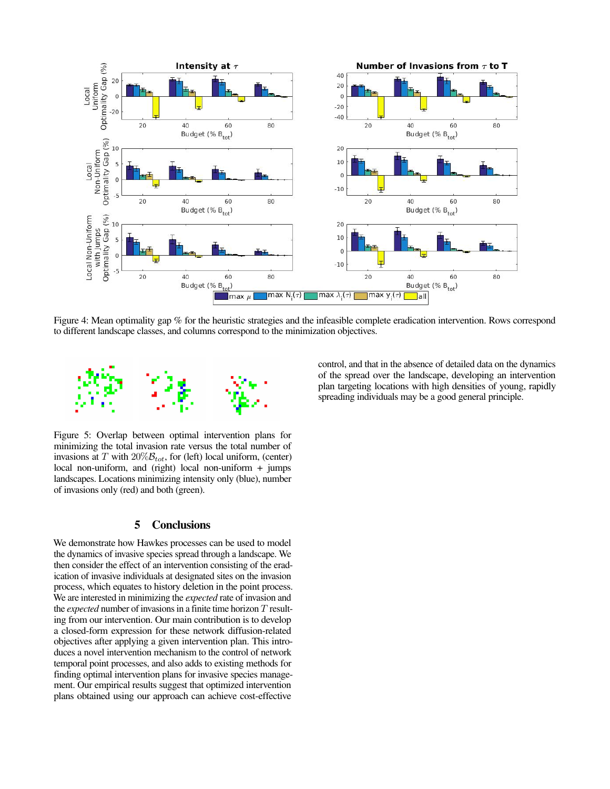<span id="page-6-0"></span>

Figure 4: Mean optimality gap % for the heuristic strategies and the infeasible complete eradication intervention. Rows correspond to different landscape classes, and columns correspond to the minimization objectives.

<span id="page-6-1"></span>

control, and that in the absence of detailed data on the dynamics of the spread over the landscape, developing an intervention plan targeting locations with high densities of young, rapidly spreading individuals may be a good general principle.

Figure 5: Overlap between optimal intervention plans for minimizing the total invasion rate versus the total number of invasions at T with  $20\%B_{tot}$ , for (left) local uniform, (center) local non-uniform, and (right) local non-uniform  $+$  jumps landscapes. Locations minimizing intensity only (blue), number of invasions only (red) and both (green).

# 5 Conclusions

We demonstrate how Hawkes processes can be used to model the dynamics of invasive species spread through a landscape. We then consider the effect of an intervention consisting of the eradication of invasive individuals at designated sites on the invasion process, which equates to history deletion in the point process. We are interested in minimizing the *expected* rate of invasion and the *expected* number of invasions in a finite time horizon T resulting from our intervention. Our main contribution is to develop a closed-form expression for these network diffusion-related objectives after applying a given intervention plan. This introduces a novel intervention mechanism to the control of network temporal point processes, and also adds to existing methods for finding optimal intervention plans for invasive species management. Our empirical results suggest that optimized intervention plans obtained using our approach can achieve cost-effective